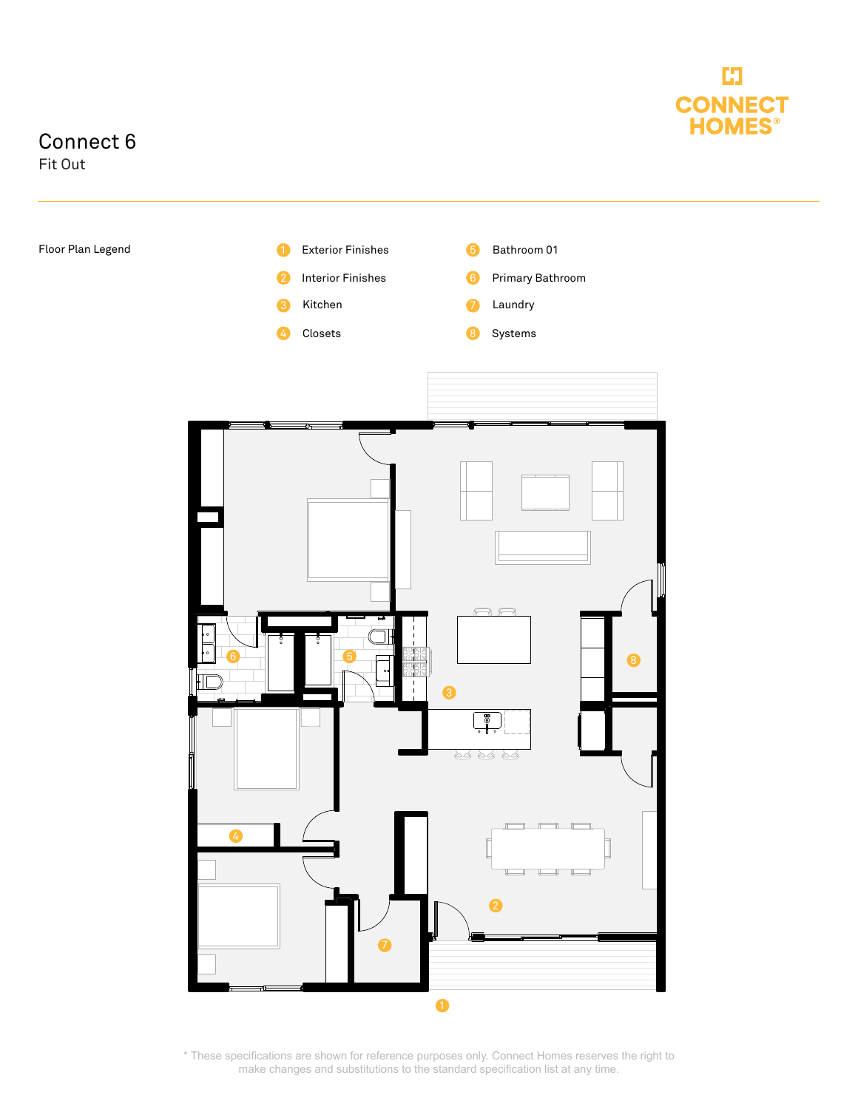

## Connect 6

Fit Out



\* These specifications are shown for reference purposes only. Connect Homes reserves the right to make changes and substitutions to the standard specification list at any time.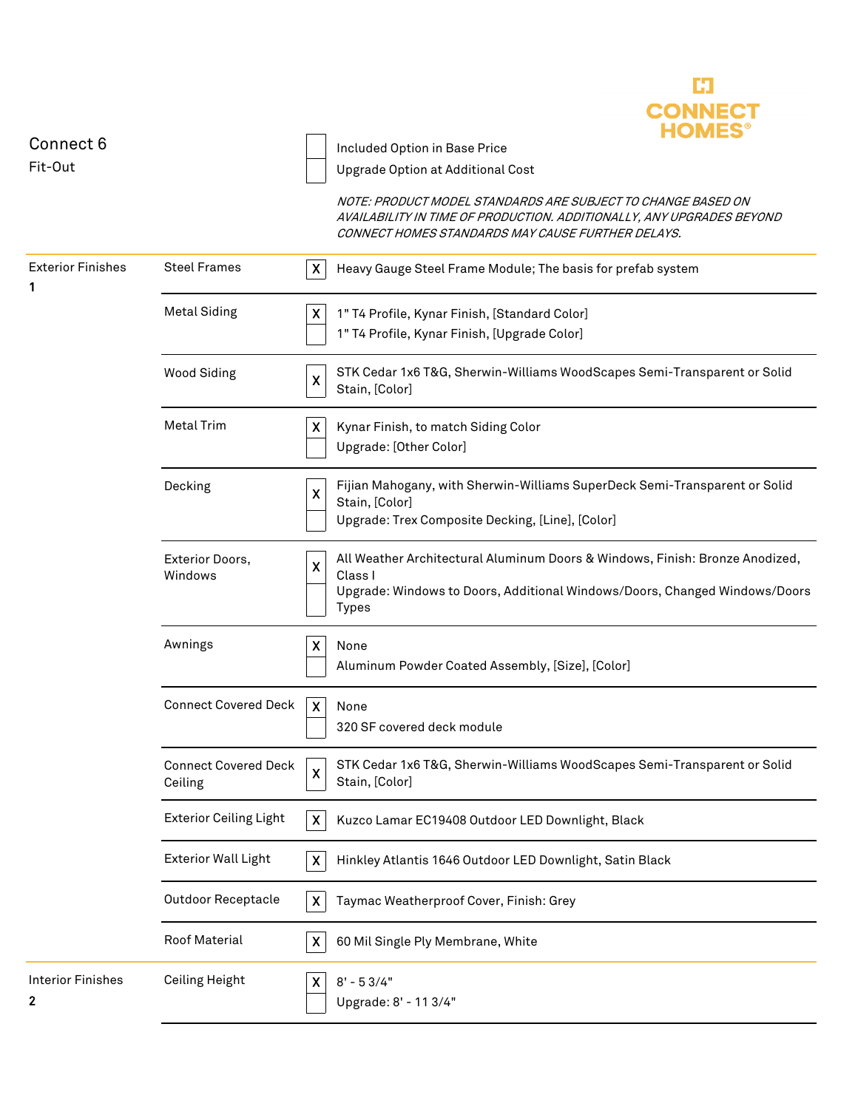

| Connect 6                               |                                        | Included Option in Base Price                                                                                                                                                                        |
|-----------------------------------------|----------------------------------------|------------------------------------------------------------------------------------------------------------------------------------------------------------------------------------------------------|
| Fit-Out                                 |                                        | Upgrade Option at Additional Cost                                                                                                                                                                    |
|                                         |                                        | NOTE: PRODUCT MODEL STANDARDS ARE SUBJECT TO CHANGE BASED ON<br>AVAILABILITY IN TIME OF PRODUCTION. ADDITIONALLY, ANY UPGRADES BEYOND<br>CONNECT HOMES STANDARDS MAY CAUSE FURTHER DELAYS.           |
| <b>Exterior Finishes</b><br>1           | <b>Steel Frames</b>                    | X<br>Heavy Gauge Steel Frame Module; The basis for prefab system                                                                                                                                     |
|                                         | <b>Metal Siding</b>                    | X<br>1" T4 Profile, Kynar Finish, [Standard Color]<br>1" T4 Profile, Kynar Finish, [Upgrade Color]                                                                                                   |
|                                         | <b>Wood Siding</b>                     | STK Cedar 1x6 T&G, Sherwin-Williams WoodScapes Semi-Transparent or Solid<br>X<br>Stain, [Color]                                                                                                      |
|                                         | <b>Metal Trim</b>                      | $\boldsymbol{\mathsf{x}}$<br>Kynar Finish, to match Siding Color<br>Upgrade: [Other Color]                                                                                                           |
|                                         | Decking                                | Fijian Mahogany, with Sherwin-Williams SuperDeck Semi-Transparent or Solid<br>X<br>Stain, [Color]<br>Upgrade: Trex Composite Decking, [Line], [Color]                                                |
|                                         | Exterior Doors,<br>Windows             | All Weather Architectural Aluminum Doors & Windows, Finish: Bronze Anodized,<br>$\pmb{\mathsf{X}}$<br>Class I<br>Upgrade: Windows to Doors, Additional Windows/Doors, Changed Windows/Doors<br>Types |
|                                         | Awnings                                | X.<br>None<br>Aluminum Powder Coated Assembly, [Size], [Color]                                                                                                                                       |
|                                         | <b>Connect Covered Deck</b>            | $\mathsf{X}$<br>None<br>320 SF covered deck module                                                                                                                                                   |
|                                         | <b>Connect Covered Deck</b><br>Ceiling | STK Cedar 1x6 T&G, Sherwin-Williams WoodScapes Semi-Transparent or Solid<br>X<br>Stain, [Color]                                                                                                      |
|                                         | <b>Exterior Ceiling Light</b>          | $\boldsymbol{\mathsf{X}}$<br>Kuzco Lamar EC19408 Outdoor LED Downlight, Black                                                                                                                        |
|                                         | <b>Exterior Wall Light</b>             | X<br>Hinkley Atlantis 1646 Outdoor LED Downlight, Satin Black                                                                                                                                        |
|                                         | <b>Outdoor Receptacle</b>              | Taymac Weatherproof Cover, Finish: Grey<br>$\boldsymbol{\mathsf{X}}$                                                                                                                                 |
|                                         | Roof Material                          | $\boldsymbol{\mathsf{X}}$<br>60 Mil Single Ply Membrane, White                                                                                                                                       |
| <b>Interior Finishes</b><br>$\mathbf 2$ | Ceiling Height                         | $8' - 53/4"$<br>X<br>Upgrade: 8' - 11 3/4"                                                                                                                                                           |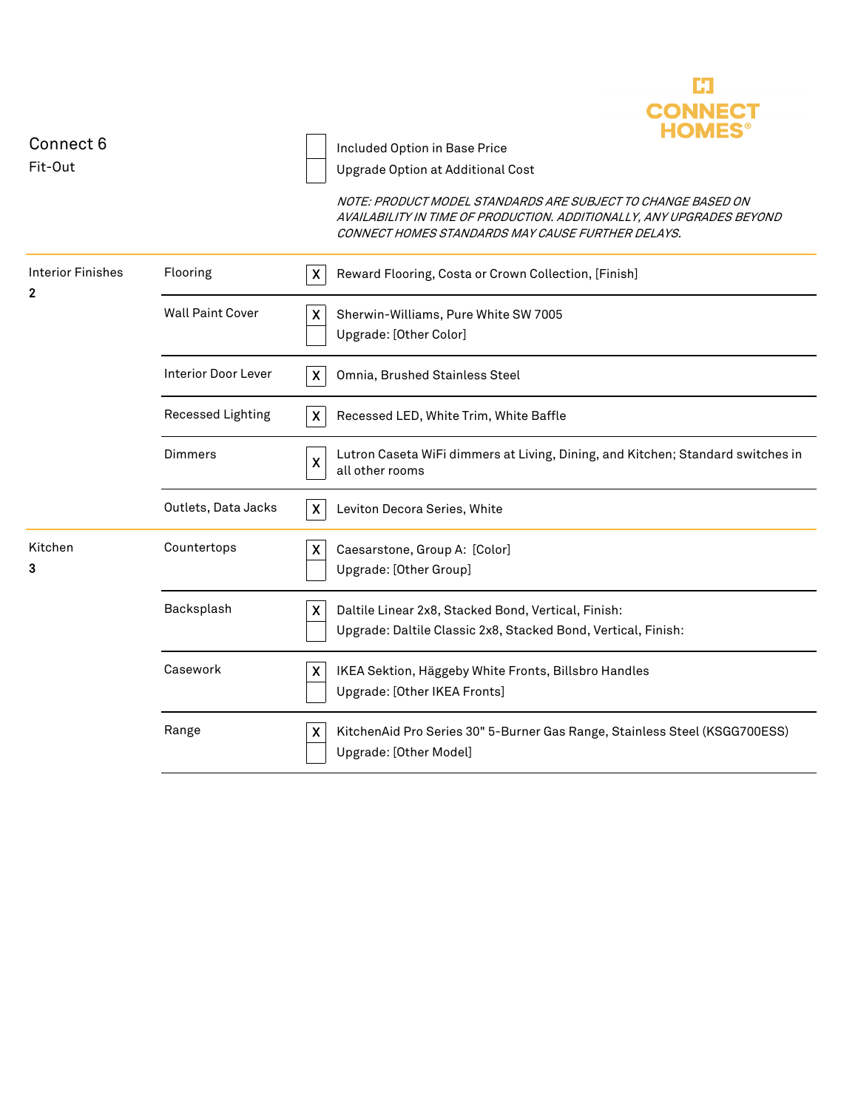

| Connect 6                                |                            | Included Option in Base Price                                                                                                                                                              |
|------------------------------------------|----------------------------|--------------------------------------------------------------------------------------------------------------------------------------------------------------------------------------------|
| Fit-Out                                  |                            | Upgrade Option at Additional Cost                                                                                                                                                          |
|                                          |                            | NOTE: PRODUCT MODEL STANDARDS ARE SUBJECT TO CHANGE BASED ON<br>AVAILABILITY IN TIME OF PRODUCTION. ADDITIONALLY, ANY UPGRADES BEYOND<br>CONNECT HOMES STANDARDS MAY CAUSE FURTHER DELAYS. |
| <b>Interior Finishes</b><br>$\mathbf{2}$ | Flooring                   | $\boldsymbol{X}$<br>Reward Flooring, Costa or Crown Collection, [Finish]                                                                                                                   |
|                                          | <b>Wall Paint Cover</b>    | $\boldsymbol{\mathsf{X}}$<br>Sherwin-Williams, Pure White SW 7005<br>Upgrade: [Other Color]                                                                                                |
|                                          | <b>Interior Door Lever</b> | $\boldsymbol{X}$<br>Omnia, Brushed Stainless Steel                                                                                                                                         |
|                                          | Recessed Lighting          | $\boldsymbol{\mathsf{X}}$<br>Recessed LED, White Trim, White Baffle                                                                                                                        |
|                                          | Dimmers                    | Lutron Caseta WiFi dimmers at Living, Dining, and Kitchen; Standard switches in<br>$\boldsymbol{\mathsf{X}}$<br>all other rooms                                                            |
|                                          | Outlets, Data Jacks        | $\pmb{\chi}$<br>Leviton Decora Series, White                                                                                                                                               |
| Kitchen<br>3                             | Countertops                | $\pmb{\mathsf{X}}$<br>Caesarstone, Group A: [Color]<br>Upgrade: [Other Group]                                                                                                              |
|                                          | Backsplash                 | $\boldsymbol{\mathsf{X}}$<br>Daltile Linear 2x8, Stacked Bond, Vertical, Finish:<br>Upgrade: Daltile Classic 2x8, Stacked Bond, Vertical, Finish:                                          |
|                                          | Casework                   | $\boldsymbol{\mathsf{X}}$<br>IKEA Sektion, Häggeby White Fronts, Billsbro Handles<br>Upgrade: [Other IKEA Fronts]                                                                          |
|                                          | Range                      | $\boldsymbol{\mathsf{X}}$<br>KitchenAid Pro Series 30" 5-Burner Gas Range, Stainless Steel (KSGG700ESS)<br>Upgrade: [Other Model]                                                          |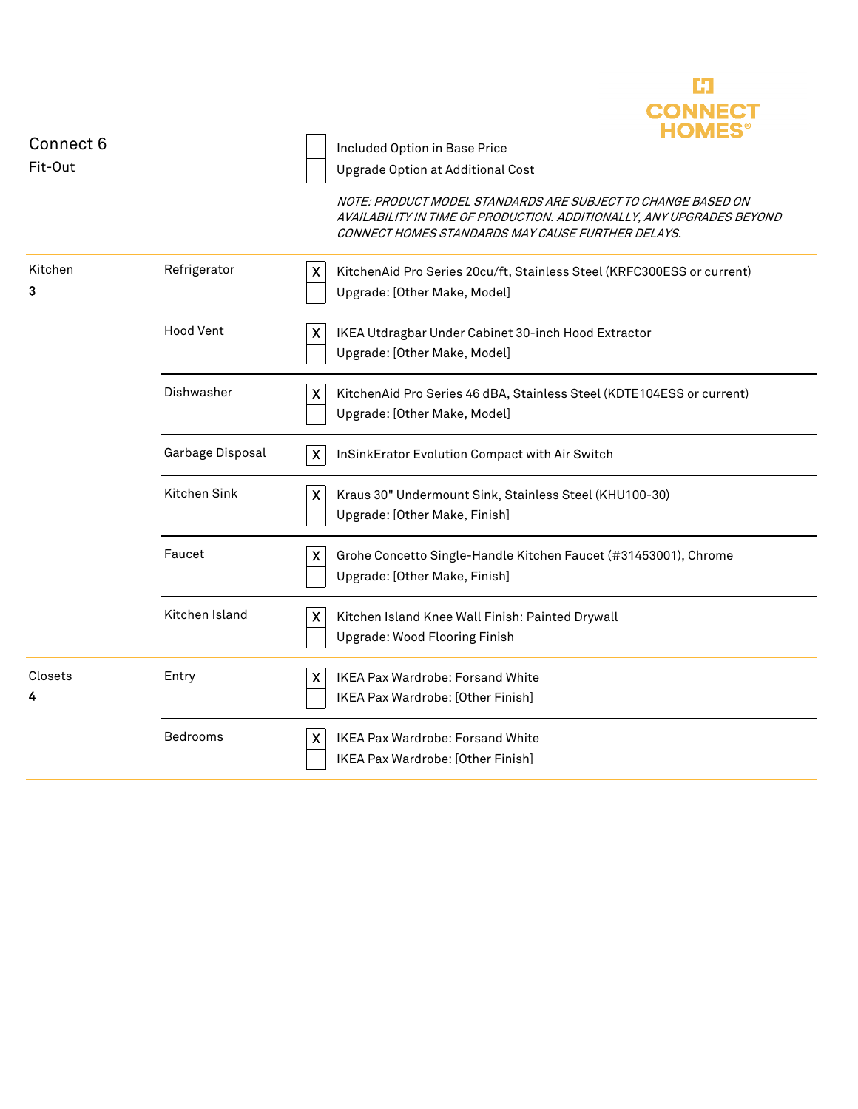

| Connect 6    |                  | Included Option in Base Price                                                                                                                                                              |
|--------------|------------------|--------------------------------------------------------------------------------------------------------------------------------------------------------------------------------------------|
| Fit-Out      |                  | Upgrade Option at Additional Cost                                                                                                                                                          |
|              |                  | NOTE: PRODUCT MODEL STANDARDS ARE SUBJECT TO CHANGE BASED ON<br>AVAILABILITY IN TIME OF PRODUCTION. ADDITIONALLY, ANY UPGRADES BEYOND<br>CONNECT HOMES STANDARDS MAY CAUSE FURTHER DELAYS. |
| Kitchen<br>3 | Refrigerator     | $\mathsf{X}$<br>KitchenAid Pro Series 20cu/ft, Stainless Steel (KRFC300ESS or current)<br>Upgrade: [Other Make, Model]                                                                     |
|              | <b>Hood Vent</b> | X<br>IKEA Utdragbar Under Cabinet 30-inch Hood Extractor<br>Upgrade: [Other Make, Model]                                                                                                   |
|              | Dishwasher       | KitchenAid Pro Series 46 dBA, Stainless Steel (KDTE104ESS or current)<br>X.<br>Upgrade: [Other Make, Model]                                                                                |
|              | Garbage Disposal | X<br>InSinkErator Evolution Compact with Air Switch                                                                                                                                        |
|              | Kitchen Sink     | X<br>Kraus 30" Undermount Sink, Stainless Steel (KHU100-30)<br>Upgrade: [Other Make, Finish]                                                                                               |
|              | Faucet           | X<br>Grohe Concetto Single-Handle Kitchen Faucet (#31453001), Chrome<br>Upgrade: [Other Make, Finish]                                                                                      |
|              | Kitchen Island   | $\boldsymbol{\mathsf{X}}$<br>Kitchen Island Knee Wall Finish: Painted Drywall<br>Upgrade: Wood Flooring Finish                                                                             |
| Closets<br>4 | Entry            | $\pmb{\mathsf{X}}$<br>IKEA Pax Wardrobe: Forsand White<br>IKEA Pax Wardrobe: [Other Finish]                                                                                                |
|              | Bedrooms         | IKEA Pax Wardrobe: Forsand White<br>$\boldsymbol{\mathsf{X}}$<br>IKEA Pax Wardrobe: [Other Finish]                                                                                         |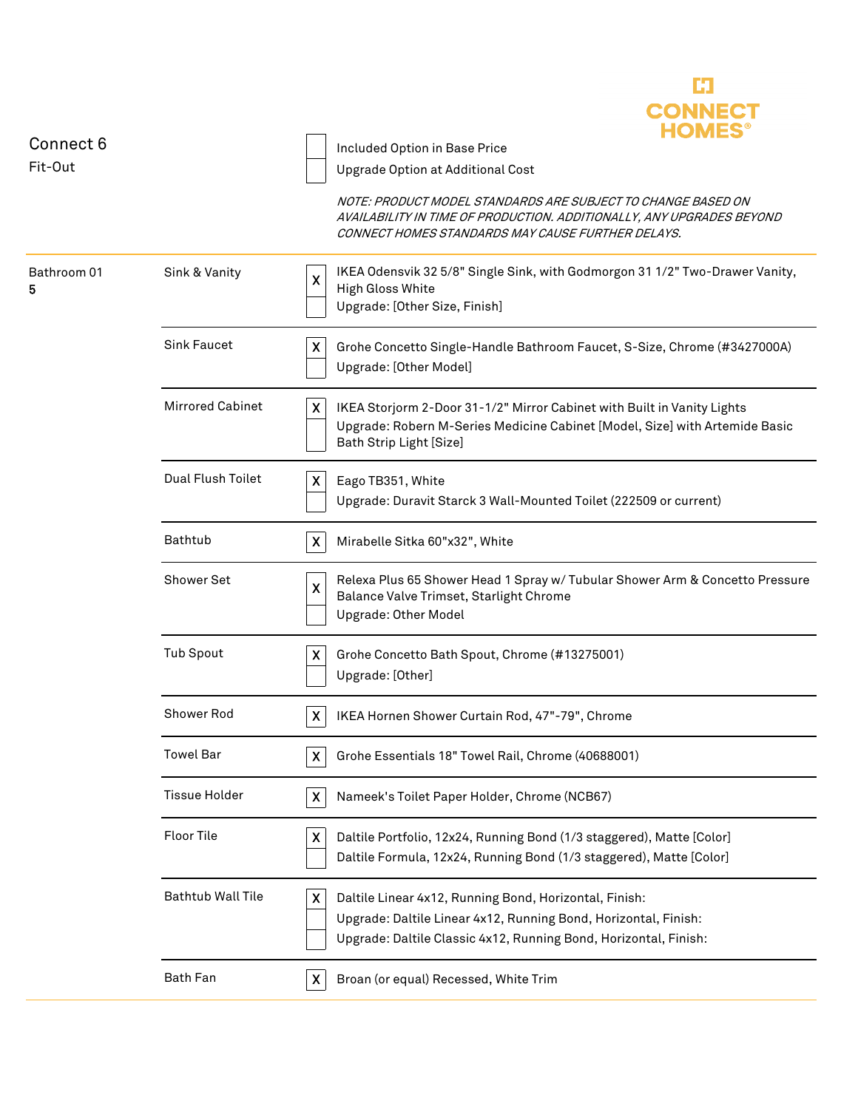

| Connect 6        |                          | Included Option in Base Price                                                                                                                                                                      |
|------------------|--------------------------|----------------------------------------------------------------------------------------------------------------------------------------------------------------------------------------------------|
| Fit-Out          |                          | Upgrade Option at Additional Cost                                                                                                                                                                  |
|                  |                          | NOTE: PRODUCT MODEL STANDARDS ARE SUBJECT TO CHANGE BASED ON<br>AVAILABILITY IN TIME OF PRODUCTION. ADDITIONALLY, ANY UPGRADES BEYOND<br>CONNECT HOMES STANDARDS MAY CAUSE FURTHER DELAYS.         |
| Bathroom 01<br>5 | Sink & Vanity            | IKEA Odensvik 32 5/8" Single Sink, with Godmorgon 31 1/2" Two-Drawer Vanity,<br>$\boldsymbol{\mathsf{X}}$<br><b>High Gloss White</b><br>Upgrade: [Other Size, Finish]                              |
|                  | <b>Sink Faucet</b>       | X<br>Grohe Concetto Single-Handle Bathroom Faucet, S-Size, Chrome (#3427000A)<br>Upgrade: [Other Model]                                                                                            |
|                  | <b>Mirrored Cabinet</b>  | X<br>IKEA Storjorm 2-Door 31-1/2" Mirror Cabinet with Built in Vanity Lights<br>Upgrade: Robern M-Series Medicine Cabinet [Model, Size] with Artemide Basic<br>Bath Strip Light [Size]             |
|                  | Dual Flush Toilet        | X<br>Eago TB351, White<br>Upgrade: Duravit Starck 3 Wall-Mounted Toilet (222509 or current)                                                                                                        |
|                  | Bathtub                  | X<br>Mirabelle Sitka 60"x32", White                                                                                                                                                                |
|                  | Shower Set               | Relexa Plus 65 Shower Head 1 Spray w/ Tubular Shower Arm & Concetto Pressure<br>X<br>Balance Valve Trimset, Starlight Chrome<br>Upgrade: Other Model                                               |
|                  | <b>Tub Spout</b>         | Grohe Concetto Bath Spout, Chrome (#13275001)<br>X<br>Upgrade: [Other]                                                                                                                             |
|                  | Shower Rod               | X<br>IKEA Hornen Shower Curtain Rod, 47"-79", Chrome                                                                                                                                               |
|                  | <b>Towel Bar</b>         | X<br>Grohe Essentials 18" Towel Rail, Chrome (40688001)                                                                                                                                            |
|                  | <b>Tissue Holder</b>     | Nameek's Toilet Paper Holder, Chrome (NCB67)<br>X.                                                                                                                                                 |
|                  | <b>Floor Tile</b>        | Daltile Portfolio, 12x24, Running Bond (1/3 staggered), Matte [Color]<br>X<br>Daltile Formula, 12x24, Running Bond (1/3 staggered), Matte [Color]                                                  |
|                  | <b>Bathtub Wall Tile</b> | X<br>Daltile Linear 4x12, Running Bond, Horizontal, Finish:<br>Upgrade: Daltile Linear 4x12, Running Bond, Horizontal, Finish:<br>Upgrade: Daltile Classic 4x12, Running Bond, Horizontal, Finish: |
|                  | <b>Bath Fan</b>          | Broan (or equal) Recessed, White Trim<br>X                                                                                                                                                         |
|                  |                          |                                                                                                                                                                                                    |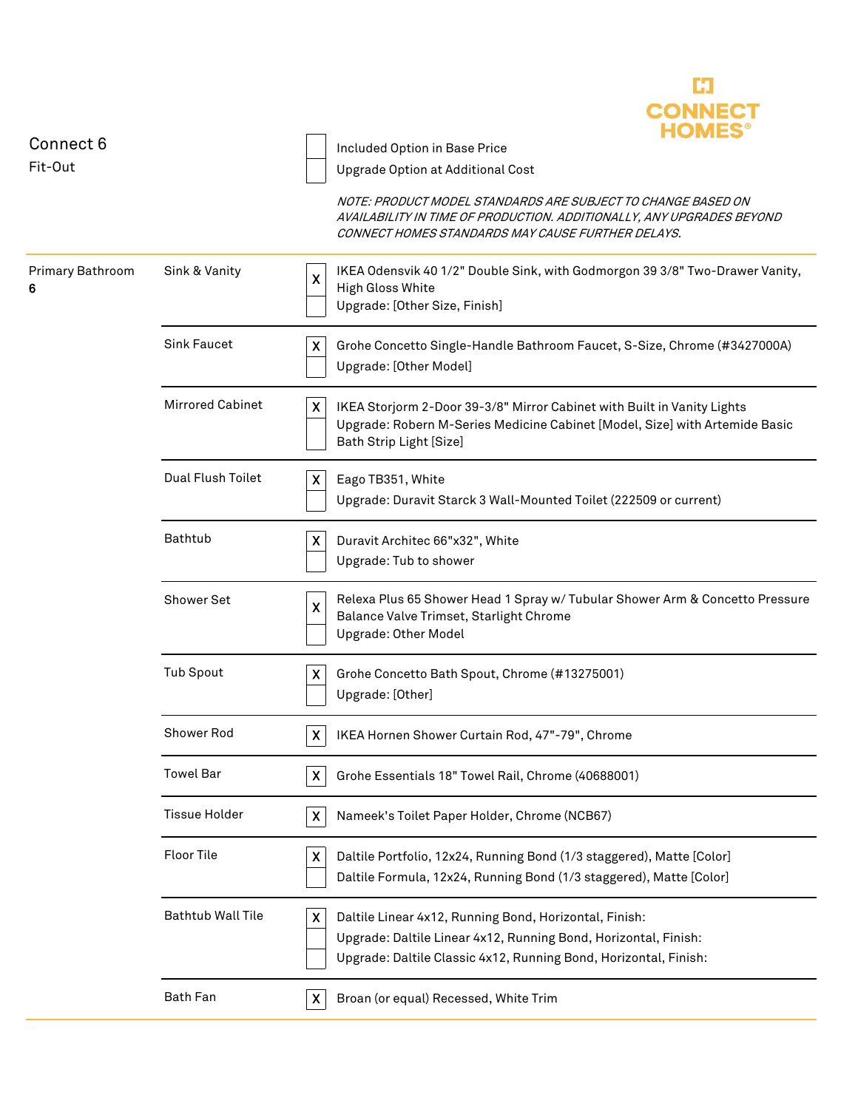

| Connect 6<br>Fit-Out  |                          | Included Option in Base Price<br>Upgrade Option at Additional Cost                                                                                                                                 |
|-----------------------|--------------------------|----------------------------------------------------------------------------------------------------------------------------------------------------------------------------------------------------|
|                       |                          | NOTE: PRODUCT MODEL STANDARDS ARE SUBJECT TO CHANGE BASED ON<br>AVAILABILITY IN TIME OF PRODUCTION. ADDITIONALLY, ANY UPGRADES BEYOND<br>CONNECT HOMES STANDARDS MAY CAUSE FURTHER DELAYS.         |
| Primary Bathroom<br>6 | Sink & Vanity            | IKEA Odensvik 40 1/2" Double Sink, with Godmorgon 39 3/8" Two-Drawer Vanity,<br>X<br><b>High Gloss White</b><br>Upgrade: [Other Size, Finish]                                                      |
|                       | <b>Sink Faucet</b>       | Grohe Concetto Single-Handle Bathroom Faucet, S-Size, Chrome (#3427000A)<br>X<br>Upgrade: [Other Model]                                                                                            |
|                       | <b>Mirrored Cabinet</b>  | X<br>IKEA Storjorm 2-Door 39-3/8" Mirror Cabinet with Built in Vanity Lights<br>Upgrade: Robern M-Series Medicine Cabinet [Model, Size] with Artemide Basic<br>Bath Strip Light [Size]             |
|                       | Dual Flush Toilet        | Eago TB351, White<br>X<br>Upgrade: Duravit Starck 3 Wall-Mounted Toilet (222509 or current)                                                                                                        |
|                       | Bathtub                  | Duravit Architec 66"x32", White<br>X<br>Upgrade: Tub to shower                                                                                                                                     |
|                       | Shower Set               | Relexa Plus 65 Shower Head 1 Spray w/ Tubular Shower Arm & Concetto Pressure<br>X<br>Balance Valve Trimset, Starlight Chrome<br>Upgrade: Other Model                                               |
|                       | <b>Tub Spout</b>         | Grohe Concetto Bath Spout, Chrome (#13275001)<br>X<br>Upgrade: [Other]                                                                                                                             |
|                       | Shower Rod               | IKEA Hornen Shower Curtain Rod, 47"-79", Chrome<br>$\boldsymbol{\mathsf{X}}$                                                                                                                       |
|                       | <b>Towel Bar</b>         | Grohe Essentials 18" Towel Rail, Chrome (40688001)<br>X                                                                                                                                            |
|                       | <b>Tissue Holder</b>     | $\boldsymbol{\mathsf{X}}$<br>Nameek's Toilet Paper Holder, Chrome (NCB67)                                                                                                                          |
|                       | <b>Floor Tile</b>        | Daltile Portfolio, 12x24, Running Bond (1/3 staggered), Matte [Color]<br>X<br>Daltile Formula, 12x24, Running Bond (1/3 staggered), Matte [Color]                                                  |
|                       | <b>Bathtub Wall Tile</b> | Daltile Linear 4x12, Running Bond, Horizontal, Finish:<br>X<br>Upgrade: Daltile Linear 4x12, Running Bond, Horizontal, Finish:<br>Upgrade: Daltile Classic 4x12, Running Bond, Horizontal, Finish: |
|                       | <b>Bath Fan</b>          | Broan (or equal) Recessed, White Trim<br>X                                                                                                                                                         |